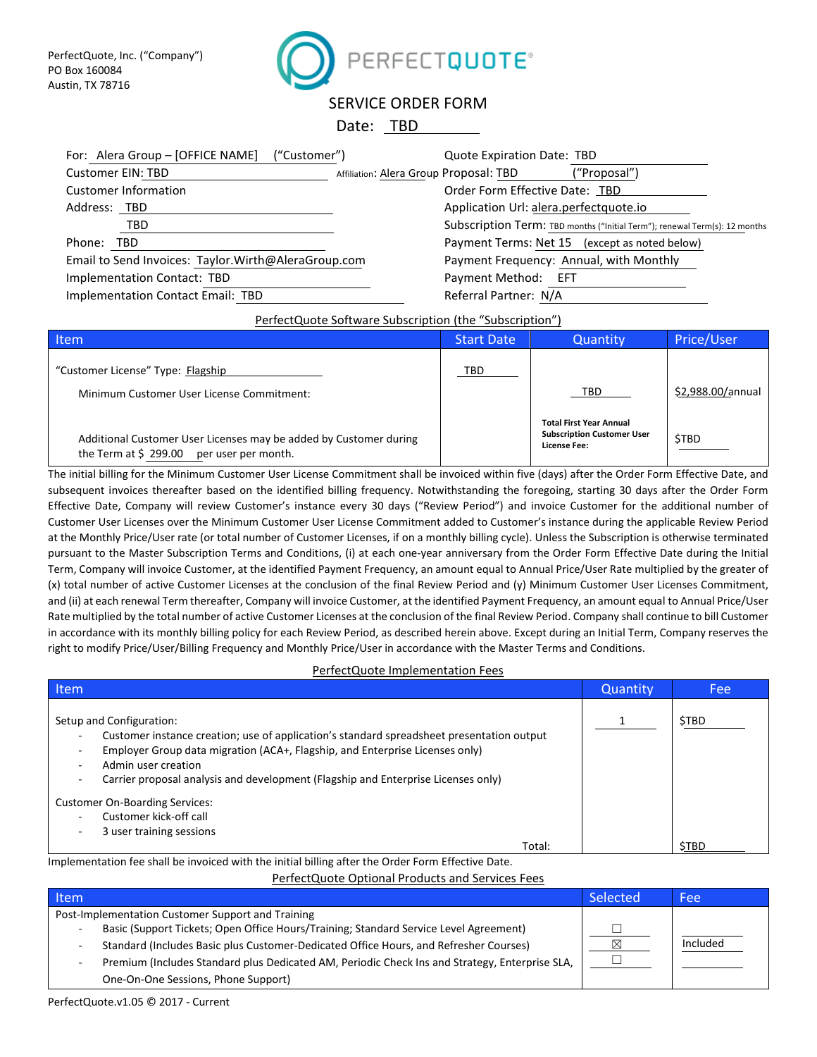

# SERVICE ORDER FORM

## Date: TBD

| For: Alera Group - [OFFICE NAME]<br>("Customer")    |                                        | Quote Expiration Date: TBD              |                                                                            |
|-----------------------------------------------------|----------------------------------------|-----------------------------------------|----------------------------------------------------------------------------|
| Customer EIN: TBD                                   | Affiliation: Alera Group Proposal: TBD |                                         | ("Proposal")                                                               |
| <b>Customer Information</b>                         |                                        | Order Form Effective Date: TBD          |                                                                            |
| Address: TBD                                        |                                        | Application Url: alera.perfectquote.io  |                                                                            |
| TBD                                                 |                                        |                                         | Subscription Term: TBD months ("Initial Term"); renewal Term(s): 12 months |
| Phone: TBD                                          |                                        |                                         | Payment Terms: Net 15 (except as noted below)                              |
| Email to Send Invoices: Taylor.Wirth@AleraGroup.com |                                        | Payment Frequency: Annual, with Monthly |                                                                            |
| Implementation Contact: TBD                         |                                        | Payment Method:<br>– EFT                |                                                                            |
| Implementation Contact Email: TBD                   |                                        | Referral Partner: N/A                   |                                                                            |

### PerfectQuote Software Subscription (the "Subscription")

| Item                                                                                                              | <b>Start Date</b> | Quantity                                                                                   | Price/User        |
|-------------------------------------------------------------------------------------------------------------------|-------------------|--------------------------------------------------------------------------------------------|-------------------|
| "Customer License" Type: Flagship<br>Minimum Customer User License Commitment:                                    | TBD               | TBD.                                                                                       | \$2,988.00/annual |
| Additional Customer User Licenses may be added by Customer during<br>the Term at $$299.00$<br>per user per month. |                   | <b>Total First Year Annual</b><br><b>Subscription Customer User</b><br><b>License Fee:</b> | \$TBD             |

The initial billing for the Minimum Customer User License Commitment shall be invoiced within five (days) after the Order Form Effective Date, and subsequent invoices thereafter based on the identified billing frequency. Notwithstanding the foregoing, starting 30 days after the Order Form Effective Date, Company will review Customer's instance every 30 days ("Review Period") and invoice Customer for the additional number of Customer User Licenses over the Minimum Customer User License Commitment added to Customer's instance during the applicable Review Period at the Monthly Price/User rate (or total number of Customer Licenses, if on a monthly billing cycle). Unless the Subscription is otherwise terminated pursuant to the Master Subscription Terms and Conditions, (i) at each one-year anniversary from the Order Form Effective Date during the Initial Term, Company will invoice Customer, at the identified Payment Frequency, an amount equal to Annual Price/User Rate multiplied by the greater of (x) total number of active Customer Licenses at the conclusion of the final Review Period and (y) Minimum Customer User Licenses Commitment, and (ii) at each renewal Term thereafter, Company will invoice Customer, at the identified Payment Frequency, an amount equal to Annual Price/User Rate multiplied by the total number of active Customer Licenses at the conclusion of the final Review Period. Company shall continue to bill Customer in accordance with its monthly billing policy for each Review Period, as described herein above. Except during an Initial Term, Company reserves the right to modify Price/User/Billing Frequency and Monthly Price/User in accordance with the Master Terms and Conditions.

#### PerfectQuote Implementation Fees

| Item                                                                                                                                                                                                                                                                                                                                                    | Quantity | Fee         |
|---------------------------------------------------------------------------------------------------------------------------------------------------------------------------------------------------------------------------------------------------------------------------------------------------------------------------------------------------------|----------|-------------|
| Setup and Configuration:<br>Customer instance creation; use of application's standard spreadsheet presentation output<br>٠<br>Employer Group data migration (ACA+, Flagship, and Enterprise Licenses only)<br>$\overline{\phantom{a}}$<br>Admin user creation<br>Carrier proposal analysis and development (Flagship and Enterprise Licenses only)<br>۰ |          | <b>STBD</b> |
| <b>Customer On-Boarding Services:</b><br>Customer kick-off call<br>3 user training sessions<br>٠                                                                                                                                                                                                                                                        |          |             |
| Total:                                                                                                                                                                                                                                                                                                                                                  |          | <b>STBD</b> |

Implementation fee shall be invoiced with the initial billing after the Order Form Effective Date.

PerfectQuote Optional Products and Services Fees

| ltem.                                                                                          | Selected | Fee      |
|------------------------------------------------------------------------------------------------|----------|----------|
| Post-Implementation Customer Support and Training                                              |          |          |
| Basic (Support Tickets; Open Office Hours/Training; Standard Service Level Agreement)          |          |          |
| Standard (Includes Basic plus Customer-Dedicated Office Hours, and Refresher Courses)          |          | Included |
| Premium (Includes Standard plus Dedicated AM, Periodic Check Ins and Strategy, Enterprise SLA, |          |          |
| One-On-One Sessions, Phone Support)                                                            |          |          |